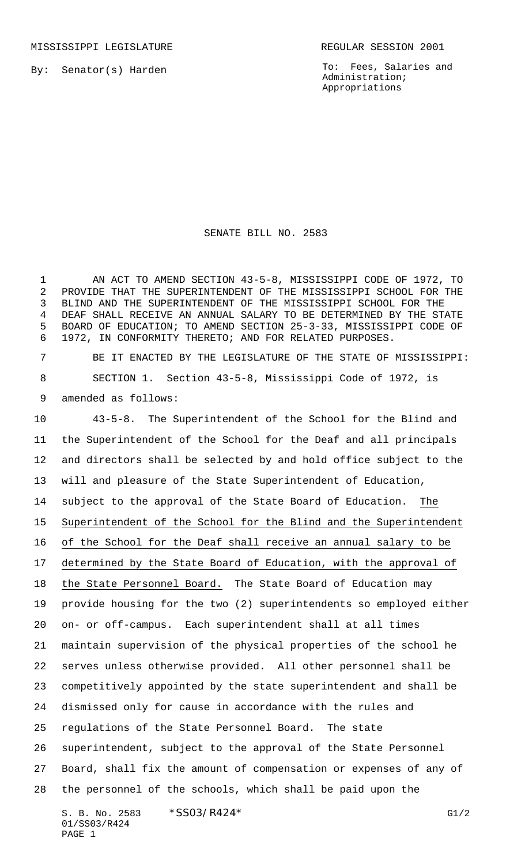By: Senator(s) Harden

To: Fees, Salaries and Administration; Appropriations

## SENATE BILL NO. 2583

 AN ACT TO AMEND SECTION 43-5-8, MISSISSIPPI CODE OF 1972, TO PROVIDE THAT THE SUPERINTENDENT OF THE MISSISSIPPI SCHOOL FOR THE BLIND AND THE SUPERINTENDENT OF THE MISSISSIPPI SCHOOL FOR THE DEAF SHALL RECEIVE AN ANNUAL SALARY TO BE DETERMINED BY THE STATE BOARD OF EDUCATION; TO AMEND SECTION 25-3-33, MISSISSIPPI CODE OF 1972, IN CONFORMITY THERETO; AND FOR RELATED PURPOSES.

 BE IT ENACTED BY THE LEGISLATURE OF THE STATE OF MISSISSIPPI: SECTION 1. Section 43-5-8, Mississippi Code of 1972, is amended as follows:

 43-5-8. The Superintendent of the School for the Blind and the Superintendent of the School for the Deaf and all principals and directors shall be selected by and hold office subject to the will and pleasure of the State Superintendent of Education, subject to the approval of the State Board of Education. The Superintendent of the School for the Blind and the Superintendent of the School for the Deaf shall receive an annual salary to be determined by the State Board of Education, with the approval of the State Personnel Board. The State Board of Education may provide housing for the two (2) superintendents so employed either on- or off-campus. Each superintendent shall at all times maintain supervision of the physical properties of the school he serves unless otherwise provided. All other personnel shall be competitively appointed by the state superintendent and shall be dismissed only for cause in accordance with the rules and regulations of the State Personnel Board. The state superintendent, subject to the approval of the State Personnel Board, shall fix the amount of compensation or expenses of any of the personnel of the schools, which shall be paid upon the

S. B. No. 2583 \* SSO3/R424\* G1/2 01/SS03/R424 PAGE 1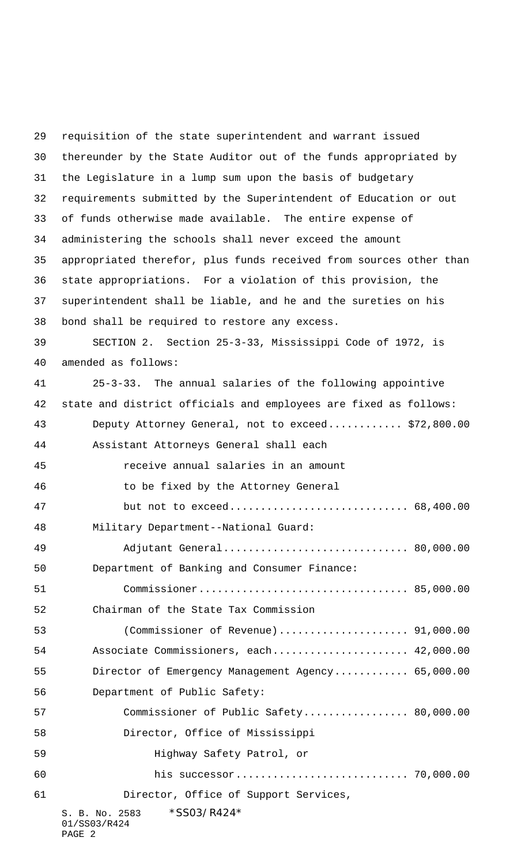S. B. No. 2583 \*SS03/R424\* 01/SS03/R424 PAGE 2 requisition of the state superintendent and warrant issued thereunder by the State Auditor out of the funds appropriated by the Legislature in a lump sum upon the basis of budgetary requirements submitted by the Superintendent of Education or out of funds otherwise made available. The entire expense of administering the schools shall never exceed the amount appropriated therefor, plus funds received from sources other than state appropriations. For a violation of this provision, the superintendent shall be liable, and he and the sureties on his bond shall be required to restore any excess. SECTION 2. Section 25-3-33, Mississippi Code of 1972, is amended as follows: 25-3-33. The annual salaries of the following appointive state and district officials and employees are fixed as follows: Deputy Attorney General, not to exceed............ \$72,800.00 Assistant Attorneys General shall each receive annual salaries in an amount to be fixed by the Attorney General but not to exceed............................. 68,400.00 Military Department--National Guard: Adjutant General.............................. 80,000.00 Department of Banking and Consumer Finance: Commissioner.................................. 85,000.00 Chairman of the State Tax Commission (Commissioner of Revenue)..................... 91,000.00 Associate Commissioners, each...................... 42,000.00 Director of Emergency Management Agency............ 65,000.00 Department of Public Safety: Commissioner of Public Safety................. 80,000.00 Director, Office of Mississippi Highway Safety Patrol, or his successor............................ 70,000.00 Director, Office of Support Services,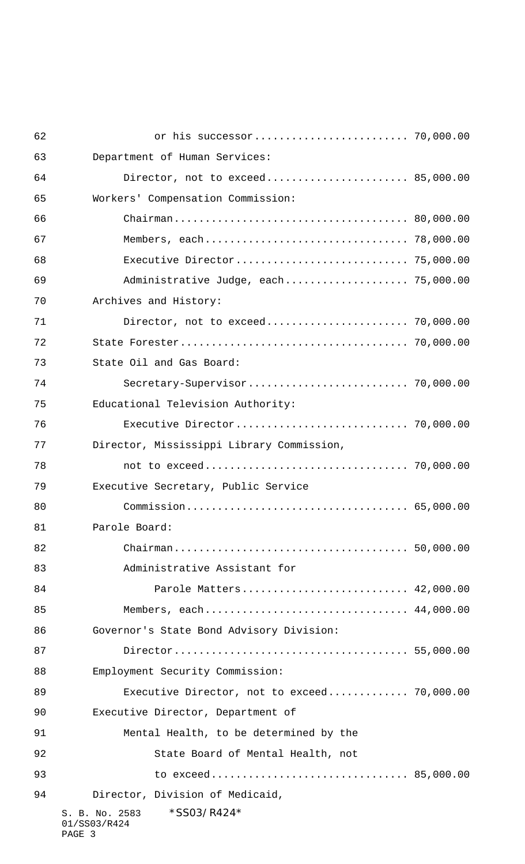| 62 |                                                         |  |
|----|---------------------------------------------------------|--|
| 63 | Department of Human Services:                           |  |
| 64 | Director, not to exceed 85,000.00                       |  |
| 65 | Workers' Compensation Commission:                       |  |
| 66 |                                                         |  |
| 67 |                                                         |  |
| 68 | Executive Director 75,000.00                            |  |
| 69 | Administrative Judge, each 75,000.00                    |  |
| 70 | Archives and History:                                   |  |
| 71 | Director, not to exceed 70,000.00                       |  |
| 72 |                                                         |  |
| 73 | State Oil and Gas Board:                                |  |
| 74 |                                                         |  |
| 75 | Educational Television Authority:                       |  |
| 76 | Executive Director 70,000.00                            |  |
| 77 | Director, Mississippi Library Commission,               |  |
| 78 |                                                         |  |
| 79 | Executive Secretary, Public Service                     |  |
| 80 |                                                         |  |
| 81 | Parole Board:                                           |  |
| 82 |                                                         |  |
| 83 | Administrative Assistant for                            |  |
| 84 | Parole Matters 42,000.00                                |  |
| 85 | Members, each 44,000.00                                 |  |
| 86 | Governor's State Bond Advisory Division:                |  |
| 87 |                                                         |  |
| 88 | Employment Security Commission:                         |  |
| 89 | Executive Director, not to exceed 70,000.00             |  |
| 90 | Executive Director, Department of                       |  |
| 91 | Mental Health, to be determined by the                  |  |
| 92 | State Board of Mental Health, not                       |  |
| 93 |                                                         |  |
| 94 | Director, Division of Medicaid,                         |  |
|    | *SS03/R424*<br>S. B. No. 2583<br>01/SS03/R424<br>PAGE 3 |  |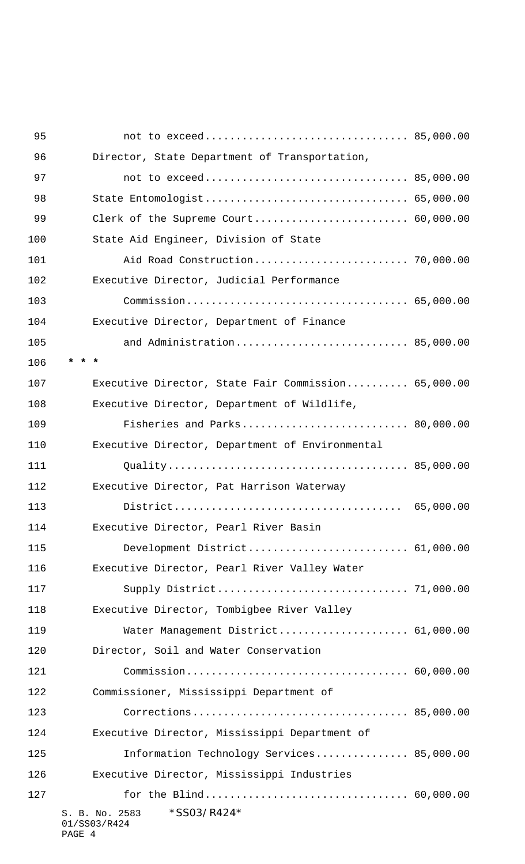| 95  |                                                               |  |
|-----|---------------------------------------------------------------|--|
| 96  | Director, State Department of Transportation,                 |  |
| 97  |                                                               |  |
| 98  | State Entomologist 65,000.00                                  |  |
| 99  | Clerk of the Supreme Court 60,000.00                          |  |
| 100 | State Aid Engineer, Division of State                         |  |
| 101 | Aid Road Construction 70,000.00                               |  |
| 102 | Executive Director, Judicial Performance                      |  |
| 103 |                                                               |  |
| 104 | Executive Director, Department of Finance                     |  |
| 105 | and Administration 85,000.00                                  |  |
| 106 |                                                               |  |
| 107 | Executive Director, State Fair Commission 65,000.00           |  |
| 108 | Executive Director, Department of Wildlife,                   |  |
| 109 | Fisheries and Parks 80,000.00                                 |  |
| 110 | Executive Director, Department of Environmental               |  |
| 111 |                                                               |  |
| 112 | Executive Director, Pat Harrison Waterway                     |  |
| 113 |                                                               |  |
| 114 | Executive Director, Pearl River Basin                         |  |
| 115 | Development District 61,000.00                                |  |
| 116 | Executive Director, Pearl River Valley Water                  |  |
| 117 |                                                               |  |
| 118 | Executive Director, Tombigbee River Valley                    |  |
| 119 | Water Management District 61,000.00                           |  |
| 120 | Director, Soil and Water Conservation                         |  |
| 121 |                                                               |  |
| 122 | Commissioner, Mississippi Department of                       |  |
| 123 |                                                               |  |
| 124 | Executive Director, Mississippi Department of                 |  |
| 125 | Information Technology Services 85,000.00                     |  |
| 126 | Executive Director, Mississippi Industries                    |  |
| 127 |                                                               |  |
|     | $*$ SS03/R424 $*$<br>S. B. No. 2583<br>01/SS03/R424<br>PAGE 4 |  |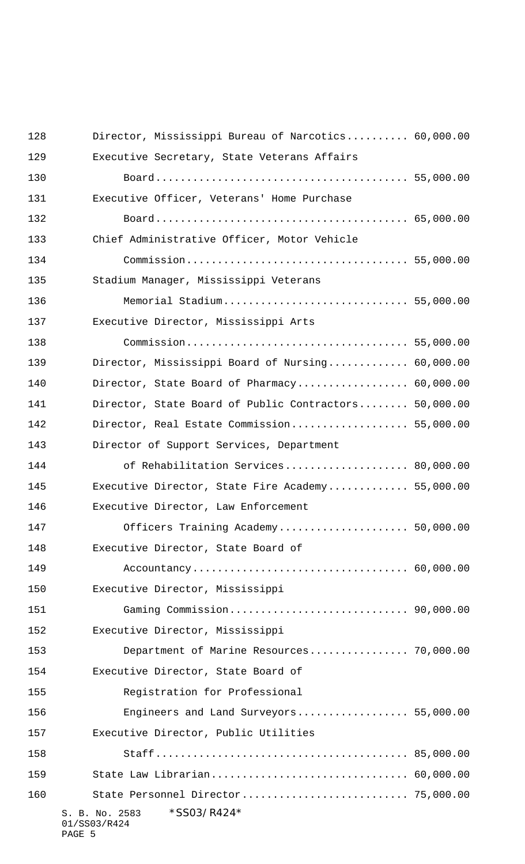| 128 | Director, Mississippi Bureau of Narcotics 60,000.00     |  |
|-----|---------------------------------------------------------|--|
| 129 | Executive Secretary, State Veterans Affairs             |  |
| 130 |                                                         |  |
| 131 | Executive Officer, Veterans' Home Purchase              |  |
| 132 |                                                         |  |
| 133 | Chief Administrative Officer, Motor Vehicle             |  |
| 134 |                                                         |  |
| 135 | Stadium Manager, Mississippi Veterans                   |  |
| 136 | Memorial Stadium 55,000.00                              |  |
| 137 | Executive Director, Mississippi Arts                    |  |
| 138 |                                                         |  |
| 139 | Director, Mississippi Board of Nursing 60,000.00        |  |
| 140 | Director, State Board of Pharmacy 60,000.00             |  |
| 141 | Director, State Board of Public Contractors 50,000.00   |  |
| 142 | Director, Real Estate Commission 55,000.00              |  |
| 143 | Director of Support Services, Department                |  |
| 144 | of Rehabilitation Services 80,000.00                    |  |
| 145 | Executive Director, State Fire Academy 55,000.00        |  |
| 146 | Executive Director, Law Enforcement                     |  |
| 147 | Officers Training Academy 50,000.00                     |  |
| 148 | Executive Director, State Board of                      |  |
| 149 |                                                         |  |
| 150 | Executive Director, Mississippi                         |  |
| 151 |                                                         |  |
| 152 | Executive Director, Mississippi                         |  |
| 153 | Department of Marine Resources 70,000.00                |  |
| 154 | Executive Director, State Board of                      |  |
| 155 | Registration for Professional                           |  |
| 156 | Engineers and Land Surveyors 55,000.00                  |  |
| 157 | Executive Director, Public Utilities                    |  |
| 158 |                                                         |  |
| 159 | State Law Librarian 60,000.00                           |  |
| 160 |                                                         |  |
|     | *SS03/R424*<br>S. B. No. 2583<br>01/SS03/R424<br>PAGE 5 |  |